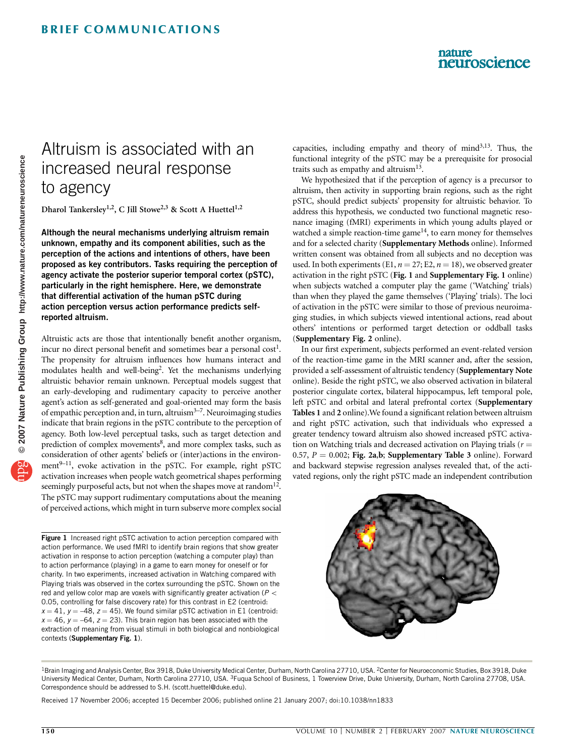### nature neuroscience

# Altruism is associated with an increased neural response to agency

Dharol Tankersley<sup>1,2</sup>, C Jill Stowe<sup>2,3</sup> & Scott A Huettel<sup>1,2</sup>

Although the neural mechanisms underlying altruism remain unknown, empathy and its component abilities, such as the perception of the actions and intentions of others, have been proposed as key contributors. Tasks requiring the perception of agency activate the posterior superior temporal cortex (pSTC), particularly in the right hemisphere. Here, we demonstrate that differential activation of the human pSTC during action perception versus action performance predicts selfreported altruism.

Altruistic acts are those that intentionally benefit another organism, incur no direct personal benefit and sometimes bear a personal cost<sup>1</sup>. The propensity for altruism influences how humans interact and modulates health and well-being<sup>2</sup>. Yet the mechanisms underlying altruistic behavior remain unknown. Perceptual models suggest that an early-developing and rudimentary capacity to perceive another agent's action as self-generated and goal-oriented may form the basis of empathic perception and, in turn, altruism3–7. Neuroimaging studies indicate that brain regions in the pSTC contribute to the perception of agency. Both low-level perceptual tasks, such as target detection and prediction of complex movements<sup>8</sup>, and more complex tasks, such as consideration of other agents' beliefs or (inter)actions in the environment<sup>9-11</sup>, evoke activation in the pSTC. For example, right pSTC activation increases when people watch geometrical shapes performing seemingly purposeful acts, but not when the shapes move at random<sup>12</sup>. The pSTC may support rudimentary computations about the meaning of perceived actions, which might in turn subserve more complex social

Figure 1 Increased right pSTC activation to action perception compared with action performance. We used fMRI to identify brain regions that show greater activation in response to action perception (watching a computer play) than to action performance (playing) in a game to earn money for oneself or for charity. In two experiments, increased activation in Watching compared with Playing trials was observed in the cortex surrounding the pSTC. Shown on the red and yellow color map are voxels with significantly greater activation ( $P <$ 0.05, controlling for false discovery rate) for this contrast in E2 (centroid:  $x = 41$ ,  $y = -48$ ,  $z = 45$ ). We found similar pSTC activation in E1 (centroid:  $x = 46$ ,  $y = -64$ ,  $z = 23$ ). This brain region has been associated with the extraction of meaning from visual stimuli in both biological and nonbiological contexts (Supplementary Fig. 1).

capacities, including empathy and theory of mind $3,13$ . Thus, the functional integrity of the pSTC may be a prerequisite for prosocial traits such as empathy and altruism $13$ .

We hypothesized that if the perception of agency is a precursor to altruism, then activity in supporting brain regions, such as the right pSTC, should predict subjects' propensity for altruistic behavior. To address this hypothesis, we conducted two functional magnetic resonance imaging (fMRI) experiments in which young adults played or watched a simple reaction-time game $14$ , to earn money for themselves and for a selected charity (Supplementary Methods online). Informed written consent was obtained from all subjects and no deception was used. In both experiments (E1,  $n = 27$ ; E2,  $n = 18$ ), we observed greater activation in the right pSTC (Fig. 1 and Supplementary Fig. 1 online) when subjects watched a computer play the game ('Watching' trials) than when they played the game themselves ('Playing' trials). The loci of activation in the pSTC were similar to those of previous neuroimaging studies, in which subjects viewed intentional actions, read about others' intentions or performed target detection or oddball tasks (Supplementary Fig. 2 online).

In our first experiment, subjects performed an event-related version of the reaction-time game in the MRI scanner and, after the session, provided a self-assessment of altruistic tendency (Supplementary Note online). Beside the right pSTC, we also observed activation in bilateral posterior cingulate cortex, bilateral hippocampus, left temporal pole, left pSTC and orbital and lateral prefrontal cortex (Supplementary Tables 1 and 2 online).We found a significant relation between altruism and right pSTC activation, such that individuals who expressed a greater tendency toward altruism also showed increased pSTC activation on Watching trials and decreased activation on Playing trials ( $r =$ 0.57,  $P = 0.002$ ; Fig. 2a,b; Supplementary Table 3 online). Forward and backward stepwise regression analyses revealed that, of the activated regions, only the right pSTC made an independent contribution



<sup>&</sup>lt;sup>1</sup>Brain Imaging and Analysis Center, Box 3918, Duke University Medical Center, Durham, North Carolina 27710, USA. <sup>2</sup>Center for Neuroeconomic Studies, Box 3918, Duke University Medical Center, Durham, North Carolina 27710, USA. 3Fuqua School of Business, 1 Towerview Drive, Duke University, Durham, North Carolina 27708, USA. Correspondence should be addressed to S.H. (scott.huettel@duke.edu).

Received 17 November 2006; accepted 15 December 2006; published online 21 January 2007; doi:10.1038/nn1833